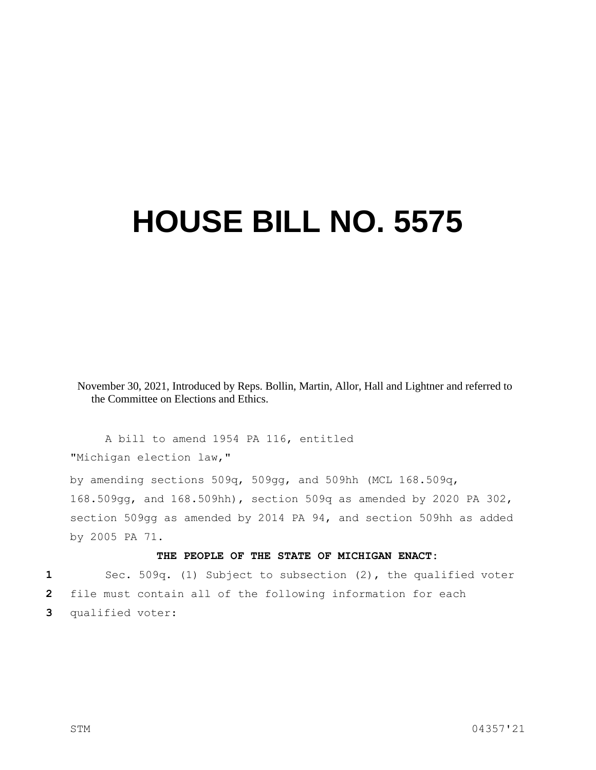## **HOUSE BILL NO. 5575**

November 30, 2021, Introduced by Reps. Bollin, Martin, Allor, Hall and Lightner and referred to the Committee on Elections and Ethics.

A bill to amend 1954 PA 116, entitled "Michigan election law,"

by amending sections 509q, 509gg, and 509hh (MCL 168.509q, 168.509gg, and 168.509hh), section 509q as amended by 2020 PA 302, section 509gg as amended by 2014 PA 94, and section 509hh as added by 2005 PA 71.

## **THE PEOPLE OF THE STATE OF MICHIGAN ENACT:**

**1** Sec. 509q. (1) Subject to subsection (2), the qualified voter **2** file must contain all of the following information for each **3** qualified voter: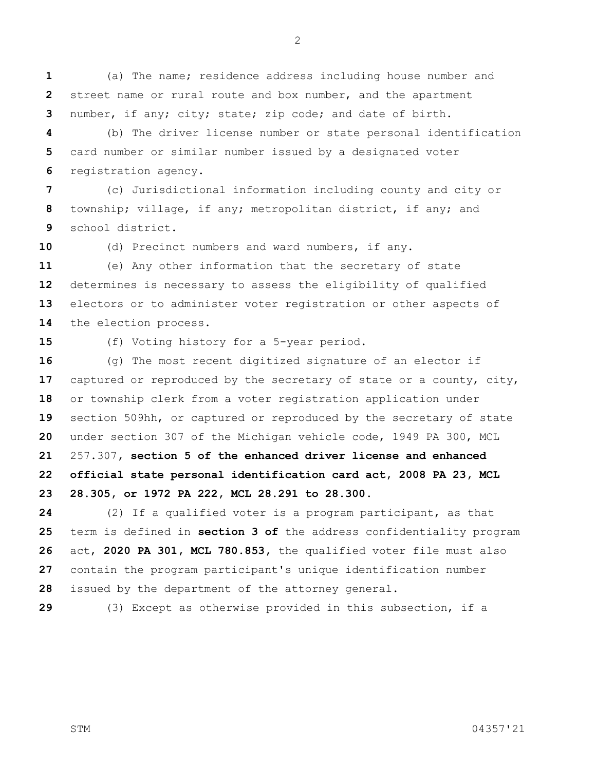(a) The name; residence address including house number and street name or rural route and box number, and the apartment number, if any; city; state; zip code; and date of birth.

 (b) The driver license number or state personal identification card number or similar number issued by a designated voter registration agency.

 (c) Jurisdictional information including county and city or township; village, if any; metropolitan district, if any; and school district.

(d) Precinct numbers and ward numbers, if any.

 (e) Any other information that the secretary of state determines is necessary to assess the eligibility of qualified electors or to administer voter registration or other aspects of the election process.

(f) Voting history for a 5-year period.

 (g) The most recent digitized signature of an elector if captured or reproduced by the secretary of state or a county, city, or township clerk from a voter registration application under section 509hh, or captured or reproduced by the secretary of state under section 307 of the Michigan vehicle code, 1949 PA 300, MCL 257.307**, section 5 of the enhanced driver license and enhanced official state personal identification card act, 2008 PA 23, MCL 28.305, or 1972 PA 222, MCL 28.291 to 28.300**.

 (2) If a qualified voter is a program participant, as that term is defined in **section 3 of** the address confidentiality program act, **2020 PA 301, MCL 780.853,** the qualified voter file must also contain the program participant's unique identification number issued by the department of the attorney general.

(3) Except as otherwise provided in this subsection, if a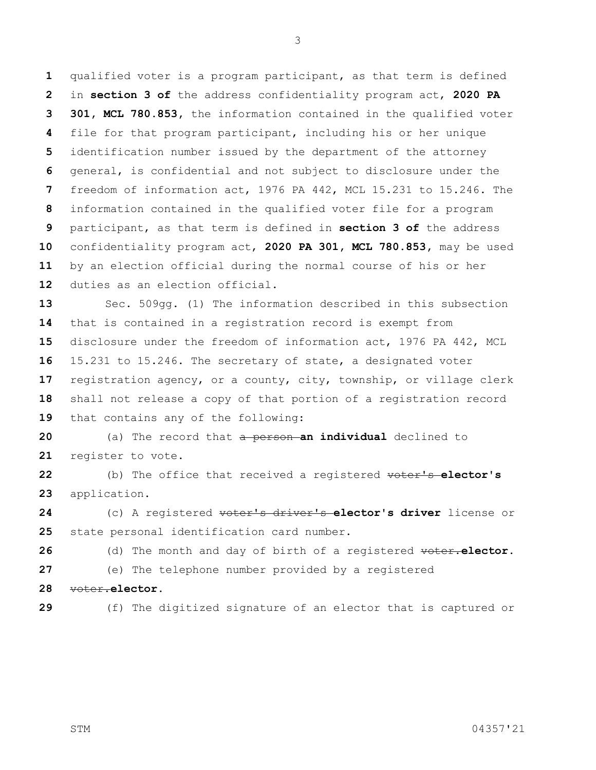qualified voter is a program participant, as that term is defined in **section 3 of** the address confidentiality program act, **2020 PA 301, MCL 780.853,** the information contained in the qualified voter file for that program participant, including his or her unique identification number issued by the department of the attorney general, is confidential and not subject to disclosure under the freedom of information act, 1976 PA 442, MCL 15.231 to 15.246. The information contained in the qualified voter file for a program participant, as that term is defined in **section 3 of** the address confidentiality program act, **2020 PA 301, MCL 780.853,** may be used by an election official during the normal course of his or her duties as an election official.

 Sec. 509gg. (1) The information described in this subsection that is contained in a registration record is exempt from disclosure under the freedom of information act, 1976 PA 442, MCL 15.231 to 15.246. The secretary of state, a designated voter registration agency, or a county, city, township, or village clerk shall not release a copy of that portion of a registration record that contains any of the following:

 (a) The record that a person **an individual** declined to register to vote.

 (b) The office that received a registered voter's **elector's**  application.

 (c) A registered voter's driver's **elector's driver** license or state personal identification card number.

 (d) The month and day of birth of a registered voter.**elector.** (e) The telephone number provided by a registered

- voter.**elector.**
- 

(f) The digitized signature of an elector that is captured or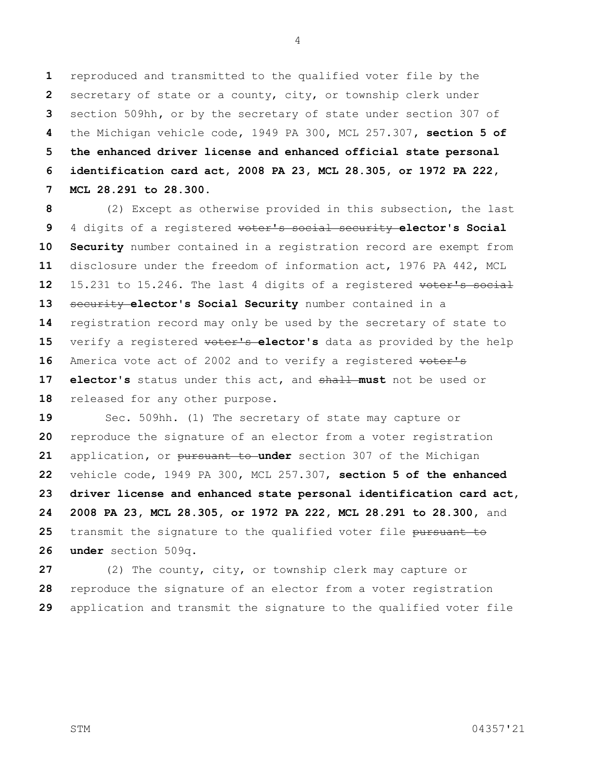reproduced and transmitted to the qualified voter file by the secretary of state or a county, city, or township clerk under section 509hh**,** or by the secretary of state under section 307 of the Michigan vehicle code, 1949 PA 300, MCL 257.307**, section 5 of the enhanced driver license and enhanced official state personal identification card act, 2008 PA 23, MCL 28.305, or 1972 PA 222, MCL 28.291 to 28.300**.

 (2) Except as otherwise provided in this subsection, the last 4 digits of a registered voter's social security **elector's Social Security** number contained in a registration record are exempt from disclosure under the freedom of information act, 1976 PA 442, MCL 15.231 to 15.246. The last 4 digits of a registered voter's social security **elector's Social Security** number contained in a registration record may only be used by the secretary of state to 15 verify a registered **voter's elector's** data as provided by the help 16 America vote act of 2002 and to verify a registered voter's **elector's** status under this act, and shall **must** not be used or 18 released for any other purpose.

 Sec. 509hh. (1) The secretary of state may capture or reproduce the signature of an elector from a voter registration application**,** or pursuant to **under** section 307 of the Michigan vehicle code, 1949 PA 300, MCL 257.307, **section 5 of the enhanced driver license and enhanced state personal identification card act, 2008 PA 23, MCL 28.305, or 1972 PA 222, MCL 28.291 to 28.300,** and 25 transmit the signature to the qualified voter file pursuant to **under** section 509q.

 (2) The county, city, or township clerk may capture or reproduce the signature of an elector from a voter registration application and transmit the signature to the qualified voter file

STM 04357'21